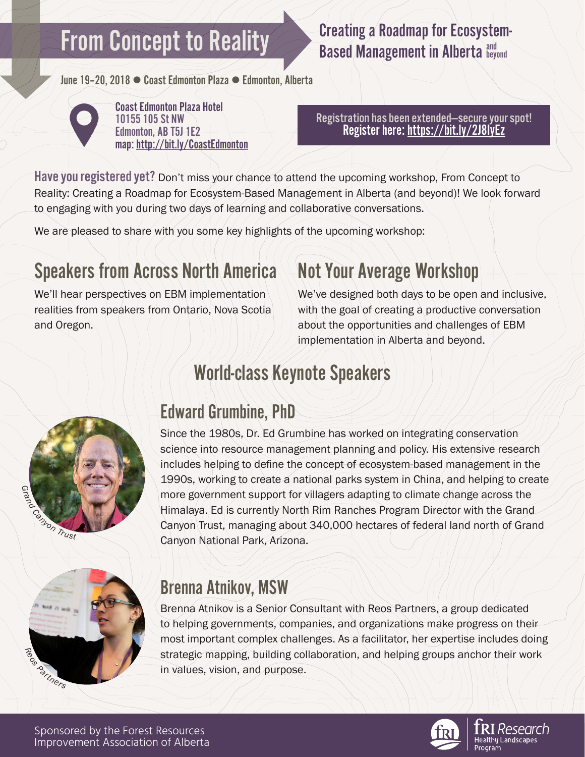# **From Concept to Reality**

## Creating a Roadmap for Ecosystem-**Based Management in Alberta and Leyond**

June 19-20, 2018 · Coast Edmonton Plaza • Edmonton, Alberta



Coast Edmonton Plaza Hotel 10155 105 St NW Edmonton, AB T5J 1E2 map: <http://bit.ly/CoastEdmonton>

Registration has been extended—secure your spot! Register here: https://bit.ly/2J8IyEz

Have you registered yet? Don't miss your chance to attend the upcoming workshop, From Concept to Reality: Creating a Roadmap for Ecosystem-Based Management in Alberta (and beyond)! We look forward to engaging with you during two days of learning and collaborative conversations.

We are pleased to share with you some key highlights of the upcoming workshop:

# Speakers from Across North America Not Your Average Workshop

We'll hear perspectives on EBM implementation realities from speakers from Ontario, Nova Scotia and Oregon.

We've designed both days to be open and inclusive, with the goal of creating a productive conversation about the opportunities and challenges of EBM implementation in Alberta and beyond.

# World-class Keynote Speakers



# Edward Grumbine, PhD

Since the 1980s, Dr. Ed Grumbine has worked on integrating conservation science into resource management planning and policy. His extensive research includes helping to define the concept of ecosystem-based management in the 1990s, working to create a national parks system in China, and helping to create more government support for villagers adapting to climate change across the Himalaya. Ed is currently North Rim Ranches Program Director with the Grand Canyon Trust, managing about 340,000 hectares of federal land north of Grand Canyon National Park, Arizona.



## Brenna Atnikov, MSW

Brenna Atnikov is a Senior Consultant with Reos Partners, a group dedicated to helping governments, companies, and organizations make progress on their most important complex challenges. As a facilitator, her expertise includes doing strategic mapping, building collaboration, and helping groups anchor their work in values, vision, and purpose.

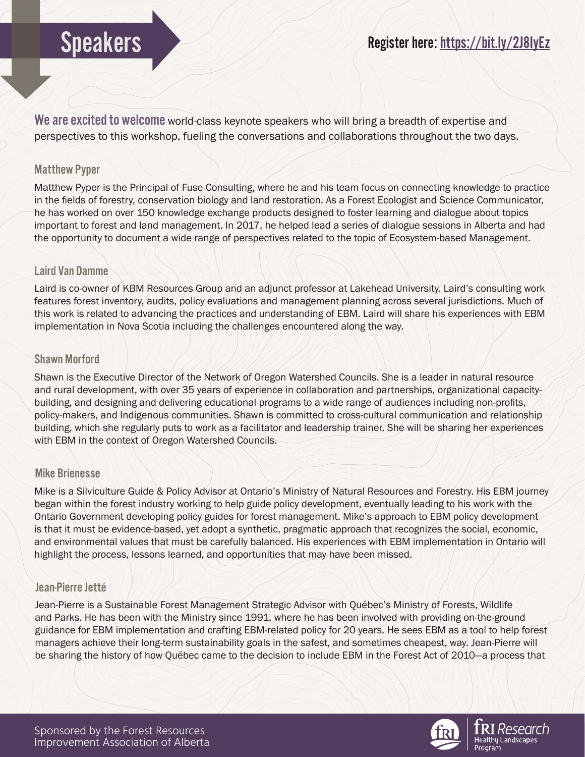We are excited to welcome world-class keynote speakers who will bring a breadth of expertise and perspectives to this workshop, fueling the conversations and collaborations throughout the two days.

## Matthew Pyper

Matthew Pyper is the Principal of Fuse Consulting, where he and his team focus on connecting knowledge to practice in the fields of forestry, conservation biology and land restoration. As a Forest Ecologist and Science Communicator, he has worked on over 150 knowledge exchange products designed to foster learning and dialogue about topics important to forest and land management. In 2017, he helped lead a series of dialogue sessions in Alberta and had the opportunity to document a wide range of perspectives related to the topic of Ecosystem-based Management.

### Laird Van Damme

Laird is co-owner of KBM Resources Group and an adjunct professor at Lakehead University. Laird's consulting work features forest inventory, audits, policy evaluations and management planning across several jurisdictions. Much of this work is related to advancing the practices and understanding of EBM. Laird will share his experiences with EBM implementation in Nova Scotia including the challenges encountered along the way.

### Shawn Morford

Shawn is the Executive Director of the Network of Oregon Watershed Councils. She is a leader in natural resource and rural development, with over 35 years of experience in collaboration and partnerships, organizational capacitybuilding, and designing and delivering educational programs to a wide range of audiences including non-profits, policy-makers, and Indigenous communities. Shawn is committed to cross-cultural communication and relationship building, which she regularly puts to work as a facilitator and leadership trainer. She will be sharing her experiences with EBM in the context of Oregon Watershed Councils.

### Mike Brienesse

Mike is a Silviculture Guide & Policy Advisor at Ontario's Ministry of Natural Resources and Forestry. His EBM journey began within the forest industry working to help guide policy development, eventually leading to his work with the Ontario Government developing policy guides for forest management. Mike's approach to EBM policy development is that it must be evidence-based, yet adopt a synthetic, pragmatic approach that recognizes the social, economic, and environmental values that must be carefully balanced. His experiences with EBM implementation in Ontario will highlight the process, lessons learned, and opportunities that may have been missed.

## Jean-Pierre Jetté

Jean-Pierre is a Sustainable Forest Management Strategic Advisor with Québec's Ministry of Forests, Wildlife and Parks. He has been with the Ministry since 1991, where he has been involved with providing on-the-ground guidance for EBM implementation and crafting EBM-related policy for 20 years. He sees EBM as a tool to help forest managers achieve their long-term sustainability goals in the safest, and sometimes cheapest, way. Jean-Pierre will be sharing the history of how Québec came to the decision to include EBM in the Forest Act of 2010—a process that

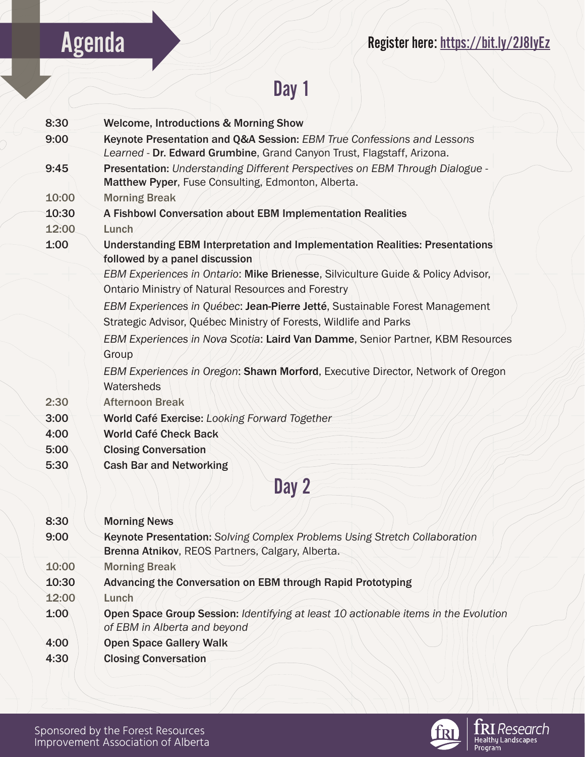# Agenda Register here: https://bit.ly/2J8IyEz

# Day 1

| 8:30  | <b>Welcome, Introductions &amp; Morning Show</b>                                                                                              |
|-------|-----------------------------------------------------------------------------------------------------------------------------------------------|
| 9:00  | Keynote Presentation and Q&A Session: EBM True Confessions and Lessons                                                                        |
|       | Learned - Dr. Edward Grumbine, Grand Canyon Trust, Flagstaff, Arizona.                                                                        |
| 9:45  | Presentation: Understanding Different Perspectives on EBM Through Dialogue -                                                                  |
|       | Matthew Pyper, Fuse Consulting, Edmonton, Alberta.                                                                                            |
| 10:00 | <b>Morning Break</b>                                                                                                                          |
| 10:30 | A Fishbowl Conversation about EBM Implementation Realities                                                                                    |
| 12:00 | Lunch                                                                                                                                         |
| 1:00  | <b>Understanding EBM Interpretation and Implementation Realities: Presentations</b><br>followed by a panel discussion                         |
|       | EBM Experiences in Ontario: Mike Brienesse, Silviculture Guide & Policy Advisor,<br><b>Ontario Ministry of Natural Resources and Forestry</b> |
|       | EBM Experiences in Québec: Jean-Pierre Jetté, Sustainable Forest Management                                                                   |
|       | Strategic Advisor, Québec Ministry of Forests, Wildlife and Parks                                                                             |
|       | EBM Experiences in Nova Scotia: Laird Van Damme, Senior Partner, KBM Resources                                                                |
|       | Group                                                                                                                                         |
|       | EBM Experiences in Oregon: Shawn Morford, Executive Director, Network of Oregon                                                               |
|       | Watersheds                                                                                                                                    |
| 2:30  | <b>Afternoon Break</b>                                                                                                                        |
| 3:00  | World Café Exercise: Looking Forward Together                                                                                                 |
| 4:00  | <b>World Café Check Back</b>                                                                                                                  |
| 5:00  | <b>Closing Conversation</b>                                                                                                                   |
| 5:30  | <b>Cash Bar and Networking</b>                                                                                                                |
|       | Day 2                                                                                                                                         |
|       |                                                                                                                                               |
|       |                                                                                                                                               |
| 8:30  | <b>Morning News</b>                                                                                                                           |
| 9:00  | Keynote Presentation: Solving Complex Problems Using Stretch Collaboration<br>Brenna Atnikov, REOS Partners, Calgary, Alberta.                |
| 10:00 | <b>Morning Break</b>                                                                                                                          |
| 10:30 | <b>Advancing the Conversation on EBM through Rapid Prototyping</b>                                                                            |
| 12:00 | Lunch                                                                                                                                         |
|       |                                                                                                                                               |

- 1:00 Open Space Group Session: *Identifying at least 10 actionable items in the Evolution of EBM in Alberta and beyond*
- 4:00 Open Space Gallery Walk
- 4:30 Closing Conversation